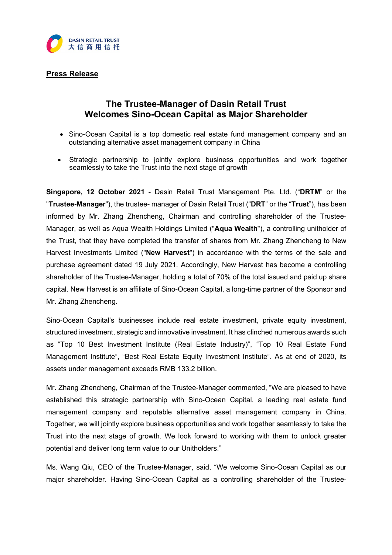

# Press Release

# The Trustee-Manager of Dasin Retail Trust Welcomes Sino-Ocean Capital as Major Shareholder

- Sino-Ocean Capital is a top domestic real estate fund management company and an outstanding alternative asset management company in China
- Strategic partnership to jointly explore business opportunities and work together seamlessly to take the Trust into the next stage of growth

Singapore, 12 October 2021 - Dasin Retail Trust Management Pte. Ltd. ("DRTM" or the "Trust"), has been well as in the trustee- manager of Dasin Retail Trust ("DRT" or the "Trust"), has been informed by Mr. Zhang Zhencheng, Chairman and controlling shareholder of the Trustee-Manager, as well as Aqua Wealth Holdings Limited ("Aqua Wealth"), a controlling unitholder of the Trust, that they have completed the transfer of shares from Mr. Zhang Zhencheng to New Harvest Investments Limited ("**New Harvest**") in accordance with the terms of the sale and purchase agreement dated 19 July 2021. Accordingly, New Harvest has become a controlling shareholder of the Trustee-Manager, holding a total of 70% of the total issued and paid up share capital. New Harvest is an affiliate of Sino-Ocean Capital, a long-time partner of the Sponsor and Mr. Zhang Zhencheng.

Sino-Ocean Capital's businesses include real estate investment, private equity investment, structured investment, strategic and innovative investment. It has clinched numerous awards such as "Top 10 Best Investment Institute (Real Estate Industry)", "Top 10 Real Estate Fund Management Institute", "Best Real Estate Equity Investment Institute". As at end of 2020, its assets under management exceeds RMB 133.2 billion.

Mr. Zhang Zhencheng, Chairman of the Trustee-Manager commented, "We are pleased to have established this strategic partnership with Sino-Ocean Capital, a leading real estate fund management company and reputable alternative asset management company in China. Together, we will jointly explore business opportunities and work together seamlessly to take the Trust into the next stage of growth. We look forward to working with them to unlock greater potential and deliver long term value to our Unitholders."

Ms. Wang Qiu, CEO of the Trustee-Manager, said, "We welcome Sino-Ocean Capital as our major shareholder. Having Sino-Ocean Capital as a controlling shareholder of the Trustee-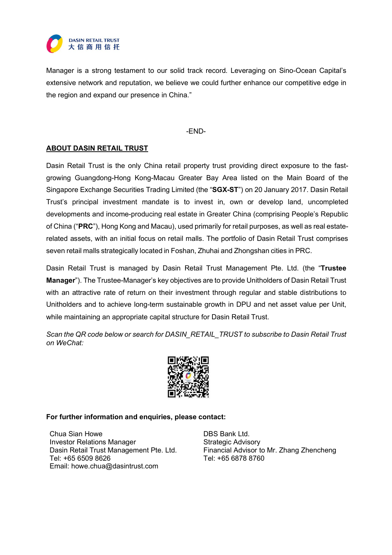

Manager is a strong testament to our solid track record. Leveraging on Sino-Ocean Capital's extensive network and reputation, we believe we could further enhance our competitive edge in the region and expand our presence in China."

### -END-

# ABOUT DASIN RETAIL TRUST

Dasin Retail Trust is the only China retail property trust providing direct exposure to the fastgrowing Guangdong-Hong Kong-Macau Greater Bay Area listed on the Main Board of the Singapore Exchange Securities Trading Limited (the "SGX-ST") on 20 January 2017. Dasin Retail Trust's principal investment mandate is to invest in, own or develop land, uncompleted developments and income-producing real estate in Greater China (comprising People's Republic of China ("PRC"), Hong Kong and Macau), used primarily for retail purposes, as well as real estaterelated assets, with an initial focus on retail malls. The portfolio of Dasin Retail Trust comprises seven retail malls strategically located in Foshan, Zhuhai and Zhongshan cities in PRC.

Dasin Retail Trust is managed by Dasin Retail Trust Management Pte. Ltd. (the "Trustee Manager"). The Trustee-Manager's key objectives are to provide Unitholders of Dasin Retail Trust with an attractive rate of return on their investment through regular and stable distributions to Unitholders and to achieve long-term sustainable growth in DPU and net asset value per Unit, while maintaining an appropriate capital structure for Dasin Retail Trust.

Scan the QR code below or search for DASIN\_RETAIL\_TRUST to subscribe to Dasin Retail Trust on WeChat:



## For further information and enquiries, please contact:

Chua Sian Howe DBS Bank Ltd. Investor Relations Manager Strategic Advisory Tel: +65 6509 8626 Tel: +65 6878 8760 Email: howe.chua@dasintrust.com

Dasin Retail Trust Management Pte. Ltd. Financial Advisor to Mr. Zhang Zhencheng